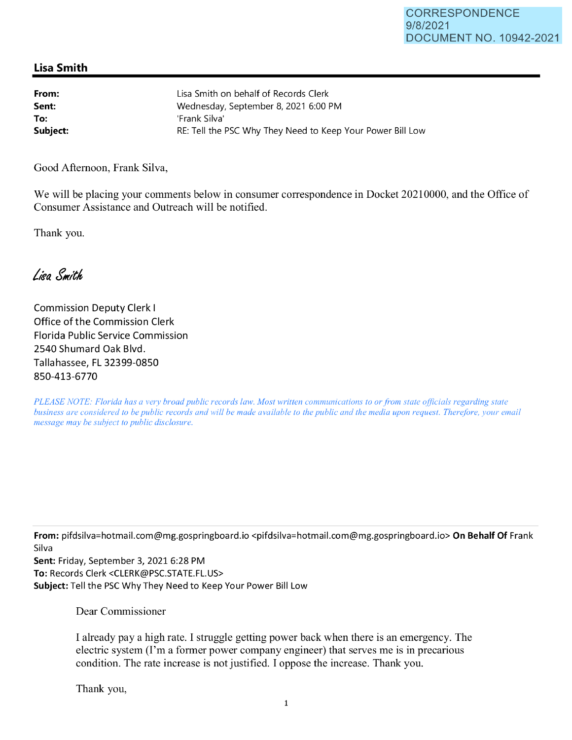## **Lisa Smith**

| From:    | Lisa Smith on behalf of Records Clerk                      |
|----------|------------------------------------------------------------|
| Sent:    | Wednesday, September 8, 2021 6:00 PM                       |
| To:      | 'Frank Silva'                                              |
| Subject: | RE: Tell the PSC Why They Need to Keep Your Power Bill Low |

Good Afternoon, Frank Silva,

We will be placing your comments below in consumer correspondence in Docket 20210000, and the Office of Consumer Assistance and Outreach will be notified.

Thank you.

Lisa Smith

Commission Deputy Clerk I Office of the Commission Clerk Florida Public Service Commission 2540 Shumard Oak Blvd. Tallahassee, FL 32399-0850 850-413-6770

*PLEASE NOTE: Florida has a very broad public records law. Most written communications to or from state officials regarding state business are considered to be public records and will be made available to the public and the media upon request. Therefore, your email message may be subject to public disclosure.* 

**From:** pifdsilva=hotmail.com@mg.gospringboard.io <pifdsilva=hotmail.com@mg.gospringboard.io> **On Behalf Of** Frank Silva

**Sent:** Friday, September 3, 2021 6:28 PM **To:** Records Clerk <CLERK@PSC.STATE.FL.US> **Subject:** Tell the PSC Why They Need to Keep Your Power Bill Low

Dear Commissioner

I already pay a high rate. I struggle getting power back when there is an emergency. The electric system (I'm a former power company engineer) that serves me is in precarious condition. The rate increase is not justified. I oppose the increase. Thank you.

Thank you,